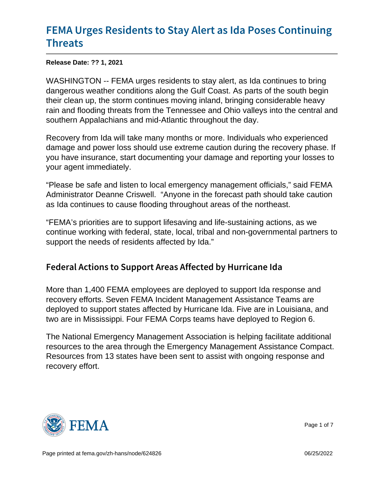# [FEMA Urges Residents to Stay Aler](https://www.fema.gov/press-release/20210901/fema-urges-residents-stay-alert-ida-poses-continuing-threats)t as Id [Thre](https://www.fema.gov/press-release/20210901/fema-urges-residents-stay-alert-ida-poses-continuing-threats)ats

Release Date: ?? 1, 2021

WASHINGTON -- FEMA urges residents to stay alert, as Ida continues to bring dangerous weather conditions along the Gulf Coast. As parts of the south begin their clean up, the storm continues moving inland, bringing considerable heavy rain and flooding threats from the Tennessee and Ohio valleys into the central and southern Appalachians and mid-Atlantic throughout the day.

Recovery from Ida will take many months or more. Individuals who experienced damage and power loss should use extreme caution during the recovery phase. If you have insurance, start documenting your damage and reporting your losses to your agent immediately.

"Please be safe and listen to local emergency management officials," said FEMA Administrator Deanne Criswell. "Anyone in the forecast path should take caution as Ida continues to cause flooding throughout areas of the northeast.

"FEMA's priorities are to support lifesaving and life-sustaining actions, as we continue working with federal, state, local, tribal and non-governmental partners to support the needs of residents affected by Ida."

## Federal Actions to Support Areas Affected by Hurr

More than 1,400 FEMA employees are deployed to support Ida response and recovery efforts. Seven FEMA Incident Management Assistance Teams are deployed to support states affected by Hurricane Ida. Five are in Louisiana, and two are in Mississippi. Four FEMA Corps teams have deployed to Region 6.

The National Emergency Management Association is helping facilitate additional resources to the area through the Emergency Management Assistance Compact. Resources from 13 states have been sent to assist with ongoing response and recovery effort.



Page 1 of 7

Page printed at [fema.gov/zh-hans/node/624826](https://www.fema.gov/zh-hans/node/624826) 06/25/2022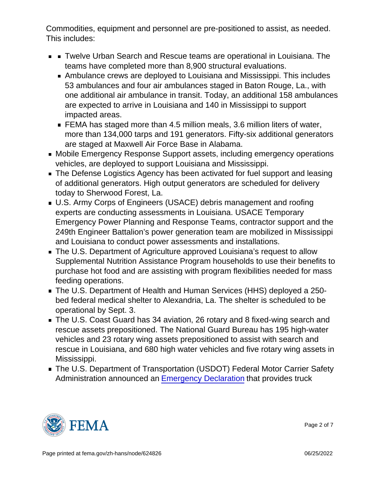Commodities, equipment and personnel are pre-positioned to assist, as needed. This includes:

- **TWelve Urban Search and Rescue teams are operational in Louisiana. The** teams have completed more than 8,900 structural evaluations.
	- Ambulance crews are deployed to Louisiana and Mississippi. This includes 53 ambulances and four air ambulances staged in Baton Rouge, La., with one additional air ambulance in transit. Today, an additional 158 ambulances are expected to arrive in Louisiana and 140 in Mississippi to support impacted areas.
	- FEMA has staged more than 4.5 million meals, 3.6 million liters of water, more than 134,000 tarps and 191 generators. Fifty-six additional generators are staged at Maxwell Air Force Base in Alabama.
- Mobile Emergency Response Support assets, including emergency operations vehicles, are deployed to support Louisiana and Mississippi.
- The Defense Logistics Agency has been activated for fuel support and leasing of additional generators. High output generators are scheduled for delivery today to Sherwood Forest, La.
- U.S. Army Corps of Engineers (USACE) debris management and roofing experts are conducting assessments in Louisiana. USACE Temporary Emergency Power Planning and Response Teams, contractor support and the 249th Engineer Battalion's power generation team are mobilized in Mississippi and Louisiana to conduct power assessments and installations.
- The U.S. Department of Agriculture approved Louisiana's request to allow Supplemental Nutrition Assistance Program households to use their benefits to purchase hot food and are assisting with program flexibilities needed for mass feeding operations.
- The U.S. Department of Health and Human Services (HHS) deployed a 250 bed federal medical shelter to Alexandria, La. The shelter is scheduled to be operational by Sept. 3.
- The U.S. Coast Guard has 34 aviation, 26 rotary and 8 fixed-wing search and rescue assets prepositioned. The National Guard Bureau has 195 high-water vehicles and 23 rotary wing assets prepositioned to assist with search and rescue in Louisiana, and 680 high water vehicles and five rotary wing assets in Mississippi.
- The U.S. Department of Transportation (USDOT) Federal Motor Carrier Safety Administration announced an [Emergency Declaration](https://www.fmcsa.dot.gov/emergency/ssc-wsc-regional-emergency-declaration-2021-008-hurricane-ida-08-29-2021) that provides truck



Page 2 of 7

Page printed at [fema.gov/zh-hans/node/624826](https://www.fema.gov/zh-hans/node/624826) 06/25/2022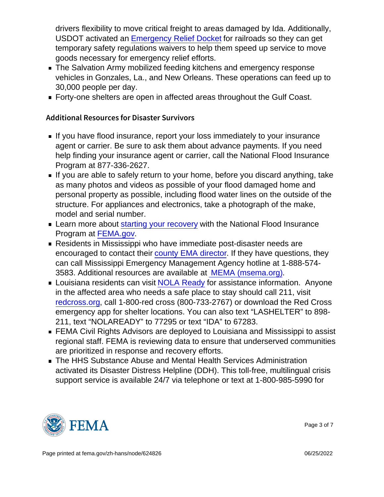drivers flexibility to move critical freight to areas damaged by Ida. Additionally, USDOT activated an [Emergency Relief Docket](https://railroads.dot.gov/elibrary/fra-deputy-administrators-declaration-emergency-event-hurricane-ida) for railroads so they can get temporary safety regulations waivers to help them speed up service to move goods necessary for emergency relief efforts.

- **The Salvation Army mobilized feeding kitchens and emergency response** vehicles in Gonzales, La., and New Orleans. These operations can feed up to 30,000 people per day.
- Forty-one shelters are open in affected areas throughout the Gulf Coast.

#### Additional Resources for Disaster Survivors

- If you have flood insurance, report your loss immediately to your insurance agent or carrier. Be sure to ask them about advance payments. If you need help finding your insurance agent or carrier, call the National Flood Insurance Program at 877-336-2627.
- If you are able to safely return to your home, before you discard anything, take as many photos and videos as possible of your flood damaged home and personal property as possible, including flood water lines on the outside of the structure. For appliances and electronics, take a photograph of the make, model and serial number.
- **Learn more about [starting your recovery](https://www.fema.gov/sites/default/files/2020-07/fema_nfip_Starting-Your-Recovery_2020.pdf) with the National Flood Insurance** Program at FEMA.gov.
- Residents in Mississippi who have immediate post-disaster needs are encouraged to contact their [county EMA director](https://www.msema.org/county-ema/). If they have questions, they can call Mississippi Emergency Management Agency hotline at 1-888-574- 3583. Additional resources are available at [MEMA \(msema.org\).](https://www.msema.org/hurricane-ida/available-resources/)
- **Louisiana residents can visit [NOLA Ready](https://ready.nola.gov/incident/hurricane-ida/recovery/?utm_source=NOLAReady&utm_medium=banner#assistance) for assistance information. Anyone** in the affected area who needs a safe place to stay should call 211, visit redcross.org, call 1-800-red cross (800-733-2767) or download the Red Cross emergency app for shelter locations. You can also text "LASHELTER" to 898- 211, text "NOLAREADY" to 77295 or text "IDA" to 67283.
- FEMA Civil Rights Advisors are deployed to Louisiana and Mississippi to assist regional staff. FEMA is reviewing data to ensure that underserved communities are prioritized in response and recovery efforts.
- The HHS Substance Abuse and Mental Health Services Administration activated its Disaster Distress Helpline (DDH). This toll-free, multilingual crisis support service is available 24/7 via telephone or text at 1-800-985-5990 for



Page 3 of 7

Page printed at [fema.gov/zh-hans/node/624826](https://www.fema.gov/zh-hans/node/624826) 06/25/2022 06/25/2022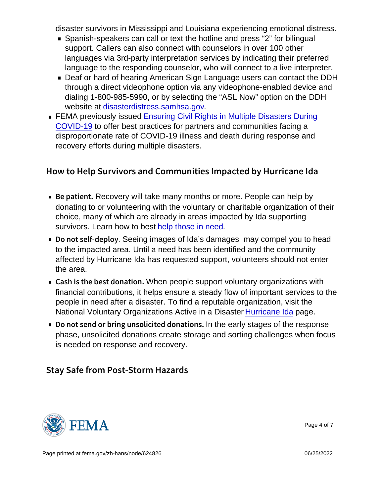disaster survivors in Mississippi and Louisiana experiencing emotional distress.

- Spanish-speakers can call or text the hotline and press "2" for bilingual support. Callers can also connect with counselors in over 100 other languages via 3rd-party interpretation services by indicating their preferred language to the responding counselor, who will connect to a live interpreter.
- Deaf or hard of hearing American Sign Language users can contact the DDH through a direct videophone option via any videophone-enabled device and dialing 1-800-985-5990, or by selecting the "ASL Now" option on the DDH website at [disasterdistress.samhsa.gov](https://urldefense.us/v3/__https:/www.samhsa.gov/find-help/disaster-distress-helpline__;!!BClRuOV5cvtbuNI!Q99u9NKRdsQaOgxG5kOfglegJCAaINMUpo6O6r7uI1zjbDdKEee5_AbQzugqLVv762gIsUZf$).
- **FEMA previously issued [Ensuring Civil Rights in Multiple Disasters During](https://www.fema.gov/sites/default/files/documents/fema_civil-rights_bulletin_03-04-2021.pdf)** [COVID-19](https://www.fema.gov/sites/default/files/documents/fema_civil-rights_bulletin_03-04-2021.pdf) to offer best practices for partners and communities facing a disproportionate rate of COVID-19 illness and death during response and recovery efforts during multiple disasters.

### How to Help Survivors and Communities Impacted

- $\blacksquare$  Be patilent Becodes will take many months or more. People can help by donating to or volunteering with the voluntary or charitable organization of their choice, many of which are already in areas impacted by Ida supporting survivors. Learn how to best help those in need.
- Do not self. Subseting images of Ida's damages may compel you to head to the impacted area. Until a need has been identified and the community affected by Hurricane Ida has requested support, volunteers should not enter the area.
- Cash is the best Wholeo peopleosupport voluntary organizations with financial contributions, it helps ensure a steady flow of important services to the people in need after a disaster. To find a reputable organization, visit the National Voluntary Organizations Active in a Disaster [Hurricane Ida](https://www.nvoad.org/hurricane-ida/) page.
- Do not send or bring unsol niotheid eadly stages of the sesponse phase, unsolicited donations create storage and sorting challenges when focus is needed on response and recovery.

### Stay Safe from Post-Storm Hazards



Page 4 of 7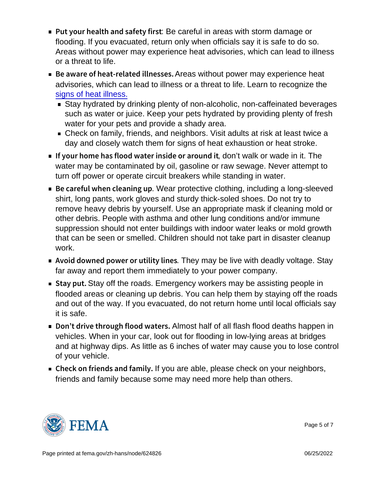- Put your health an:oBescaanfeefullyin alieraastwith storm damage or flooding. If you evacuated, return only when officials say it is safe to do so. Areas without power may experience heat advisories, which can lead to illness or a threat to life.
- Be aware of heat-rel**ates as withboutepso weers** may experience heat advisories, which can lead to illness or a threat to life. Learn to recognize the [signs of heat illness.](http://www.cdc.gov/disasters/ extremeheat/warning.html)
	- Stay hydrated by drinking plenty of non-alcoholic, non-caffeinated beverages such as water or juice. Keep your pets hydrated by providing plenty of fresh water for your pets and provide a shady area.
	- Check on family, friends, and neighbors. Visit adults at risk at least twice a day and closely watch them for signs of heat exhaustion or heat stroke.
- If your home has flood water,donn'**stwalketoorwaderiotit.nToleit** water may be contaminated by oil, gasoline or raw sewage. Never attempt to turn off power or operate circuit breakers while standing in water.
- Be careful when clear priotective cothing, including a long-sleeved shirt, long pants, work gloves and sturdy thick-soled shoes. Do not try to remove heavy debris by yourself. Use an appropriate mask if cleaning mold or other debris. People with asthma and other lung conditions and/or immune suppression should not enter buildings with indoor water leaks or mold growth that can be seen or smelled. Children should not take part in disaster cleanup work.
- $\blacksquare$  Avoid downed power o $\blacksquare$  hey trin bijve live neadly voltage. Stay far away and report them immediately to your power company.
- $\blacksquare$  Stay  $\mathsf{Stav}$  off the roads. Emergency workers may be assisting people in flooded areas or cleaning up debris. You can help them by staying off the roads and out of the way. If you evacuated, do not return home until local officials say it is safe.
- Don t drive through **Almossthalf aft all flo**ssh flood deaths happen in vehicles. When in your car, look out for flooding in low-lying areas at bridges and at highway dips. As little as 6 inches of water may cause you to lose control of your vehicle.
- $\blacksquare$  Check on friends lfayonodarfeaanble, please check on your neighbors, friends and family because some may need more help than others.



Page 5 of 7

Page printed at [fema.gov/zh-hans/node/624826](https://www.fema.gov/zh-hans/node/624826) 06/25/2022 06/25/2022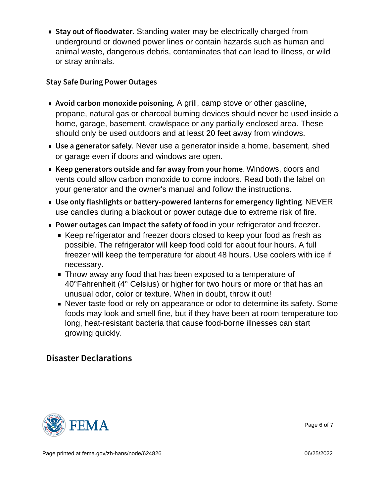Stay out of floStian building tweater may be electrically charged from underground or downed power lines or contain hazards such as human and animal waste, dangerous debris, contaminates that can lead to illness, or wild or stray animals.

#### Stay Safe During Power Outages

- A void carbon monoxidAegript, ocamp stonegor other gasoline, propane, natural gas or charcoal burning devices should never be used inside a home, garage, basement, crawlspace or any partially enclosed area. These should only be used outdoors and at least 20 feet away from windows.
- $\blacksquare$  Use a generat Neves as ead generator inside a home, basement, shed or garage even if doors and windows are open.
- **K**eep generators outside and far aWindows,fdownsandur home... vents could allow carbon monoxide to come indoors. Read both the label on your generator and the owner's manual and follow the instructions.
- Use only flashlights or battery-powered lan NEWER for emergency use candles during a blackout or power outage due to extreme risk of fire.
- Power outages can impact the hypeus refriget pato for heater.
	- Keep refrigerator and freezer doors closed to keep your food as fresh as possible. The refrigerator will keep food cold for about four hours. A full freezer will keep the temperature for about 48 hours. Use coolers with ice if necessary.
	- Throw away any food that has been exposed to a temperature of 40°Fahrenheit (4° Celsius) or higher for two hours or more or that has an unusual odor, color or texture. When in doubt, throw it out!
	- Never taste food or rely on appearance or odor to determine its safety. Some foods may look and smell fine, but if they have been at room temperature too long, heat-resistant bacteria that cause food-borne illnesses can start growing quickly.

## Disaster Declarations



Page 6 of 7